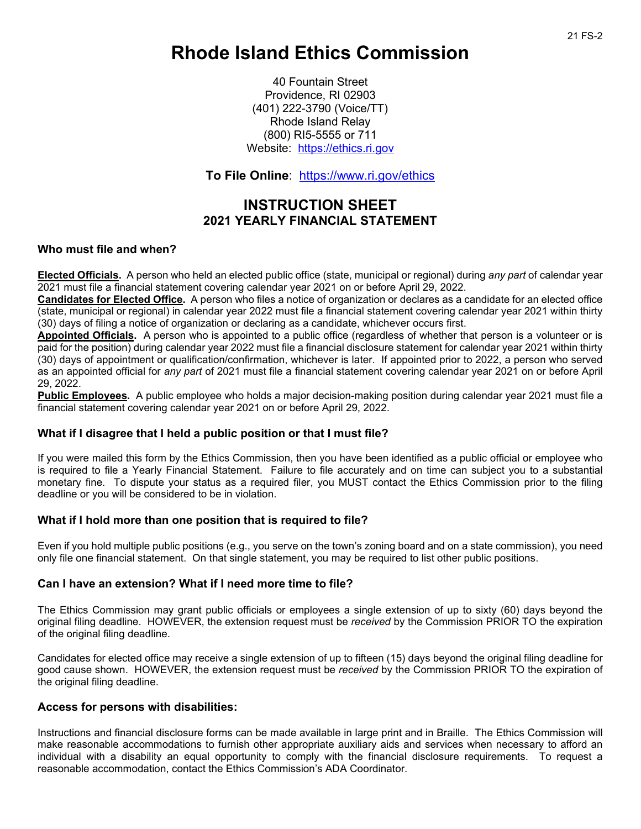# **Rhode Island Ethics Commission**

40 Fountain Street Providence, RI 02903 (401) 222-3790 (Voice/TT) Rhode Island Relay (800) RI5-5555 or 711 Website: [https://ethics.ri.gov](https://ethics.ri.gov/)

**To File Online**: <https://www.ri.gov/ethics>

# **INSTRUCTION SHEET 2021 YEARLY FINANCIAL STATEMENT**

### **Who must file and when?**

**Elected Officials.** A person who held an elected public office (state, municipal or regional) during *any part* of calendar year 2021 must file a financial statement covering calendar year 2021 on or before April 29, 2022.

**Candidates for Elected Office.** A person who files a notice of organization or declares as a candidate for an elected office (state, municipal or regional) in calendar year 2022 must file a financial statement covering calendar year 2021 within thirty (30) days of filing a notice of organization or declaring as a candidate, whichever occurs first.

**Appointed Officials.** A person who is appointed to a public office (regardless of whether that person is a volunteer or is paid for the position) during calendar year 2022 must file a financial disclosure statement for calendar year 2021 within thirty (30) days of appointment or qualification/confirmation, whichever is later. If appointed prior to 2022, a person who served as an appointed official for *any part* of 2021 must file a financial statement covering calendar year 2021 on or before April 29, 2022.

**Public Employees.** A public employee who holds a major decision-making position during calendar year 2021 must file a financial statement covering calendar year 2021 on or before April 29, 2022.

# **What if I disagree that I held a public position or that I must file?**

If you were mailed this form by the Ethics Commission, then you have been identified as a public official or employee who is required to file a Yearly Financial Statement. Failure to file accurately and on time can subject you to a substantial monetary fine. To dispute your status as a required filer, you MUST contact the Ethics Commission prior to the filing deadline or you will be considered to be in violation.

# **What if I hold more than one position that is required to file?**

Even if you hold multiple public positions (e.g., you serve on the town's zoning board and on a state commission), you need only file one financial statement. On that single statement, you may be required to list other public positions.

#### **Can I have an extension? What if I need more time to file?**

The Ethics Commission may grant public officials or employees a single extension of up to sixty (60) days beyond the original filing deadline. HOWEVER, the extension request must be *received* by the Commission PRIOR TO the expiration of the original filing deadline.

Candidates for elected office may receive a single extension of up to fifteen (15) days beyond the original filing deadline for good cause shown. HOWEVER, the extension request must be *received* by the Commission PRIOR TO the expiration of the original filing deadline.

# **Access for persons with disabilities:**

Instructions and financial disclosure forms can be made available in large print and in Braille. The Ethics Commission will make reasonable accommodations to furnish other appropriate auxiliary aids and services when necessary to afford an individual with a disability an equal opportunity to comply with the financial disclosure requirements. To request a reasonable accommodation, contact the Ethics Commission's ADA Coordinator.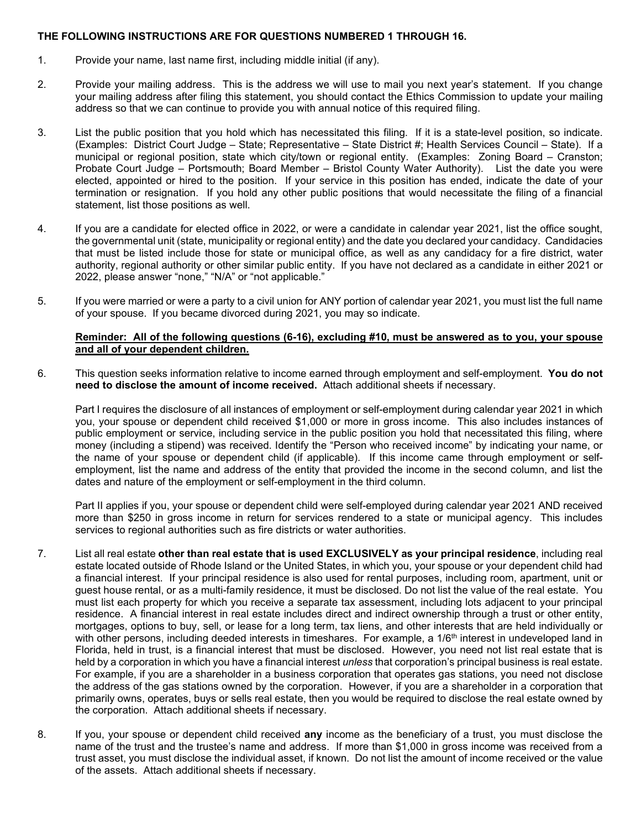#### **THE FOLLOWING INSTRUCTIONS ARE FOR QUESTIONS NUMBERED 1 THROUGH 16.**

- 1. Provide your name, last name first, including middle initial (if any).
- 2. Provide your mailing address. This is the address we will use to mail you next year's statement. If you change your mailing address after filing this statement, you should contact the Ethics Commission to update your mailing address so that we can continue to provide you with annual notice of this required filing.
- 3. List the public position that you hold which has necessitated this filing. If it is a state-level position, so indicate. (Examples: District Court Judge – State; Representative – State District #; Health Services Council – State). If a municipal or regional position, state which city/town or regional entity. (Examples: Zoning Board – Cranston; Probate Court Judge – Portsmouth; Board Member – Bristol County Water Authority). List the date you were elected, appointed or hired to the position. If your service in this position has ended, indicate the date of your termination or resignation. If you hold any other public positions that would necessitate the filing of a financial statement, list those positions as well.
- 4. If you are a candidate for elected office in 2022, or were a candidate in calendar year 2021, list the office sought, the governmental unit (state, municipality or regional entity) and the date you declared your candidacy. Candidacies that must be listed include those for state or municipal office, as well as any candidacy for a fire district, water authority, regional authority or other similar public entity. If you have not declared as a candidate in either 2021 or 2022, please answer "none," "N/A" or "not applicable."
- 5. If you were married or were a party to a civil union for ANY portion of calendar year 2021, you must list the full name of your spouse. If you became divorced during 2021, you may so indicate.

#### **Reminder: All of the following questions (6-16), excluding #10, must be answered as to you, your spouse and all of your dependent children.**

6. This question seeks information relative to income earned through employment and self-employment. **You do not need to disclose the amount of income received.** Attach additional sheets if necessary.

Part I requires the disclosure of all instances of employment or self-employment during calendar year 2021 in which you, your spouse or dependent child received \$1,000 or more in gross income. This also includes instances of public employment or service, including service in the public position you hold that necessitated this filing, where money (including a stipend) was received. Identify the "Person who received income" by indicating your name, or the name of your spouse or dependent child (if applicable). If this income came through employment or selfemployment, list the name and address of the entity that provided the income in the second column, and list the dates and nature of the employment or self-employment in the third column.

Part II applies if you, your spouse or dependent child were self-employed during calendar year 2021 AND received more than \$250 in gross income in return for services rendered to a state or municipal agency. This includes services to regional authorities such as fire districts or water authorities.

- 7. List all real estate **other than real estate that is used EXCLUSIVELY as your principal residence**, including real estate located outside of Rhode Island or the United States, in which you, your spouse or your dependent child had a financial interest. If your principal residence is also used for rental purposes, including room, apartment, unit or guest house rental, or as a multi-family residence, it must be disclosed. Do not list the value of the real estate. You must list each property for which you receive a separate tax assessment, including lots adjacent to your principal residence. A financial interest in real estate includes direct and indirect ownership through a trust or other entity, mortgages, options to buy, sell, or lease for a long term, tax liens, and other interests that are held individually or with other persons, including deeded interests in timeshares. For example, a 1/6<sup>th</sup> interest in undeveloped land in Florida, held in trust, is a financial interest that must be disclosed. However, you need not list real estate that is held by a corporation in which you have a financial interest *unless* that corporation's principal business is real estate. For example, if you are a shareholder in a business corporation that operates gas stations, you need not disclose the address of the gas stations owned by the corporation. However, if you are a shareholder in a corporation that primarily owns, operates, buys or sells real estate, then you would be required to disclose the real estate owned by the corporation. Attach additional sheets if necessary.
- 8. If you, your spouse or dependent child received **any** income as the beneficiary of a trust, you must disclose the name of the trust and the trustee's name and address. If more than \$1,000 in gross income was received from a trust asset, you must disclose the individual asset, if known. Do not list the amount of income received or the value of the assets. Attach additional sheets if necessary.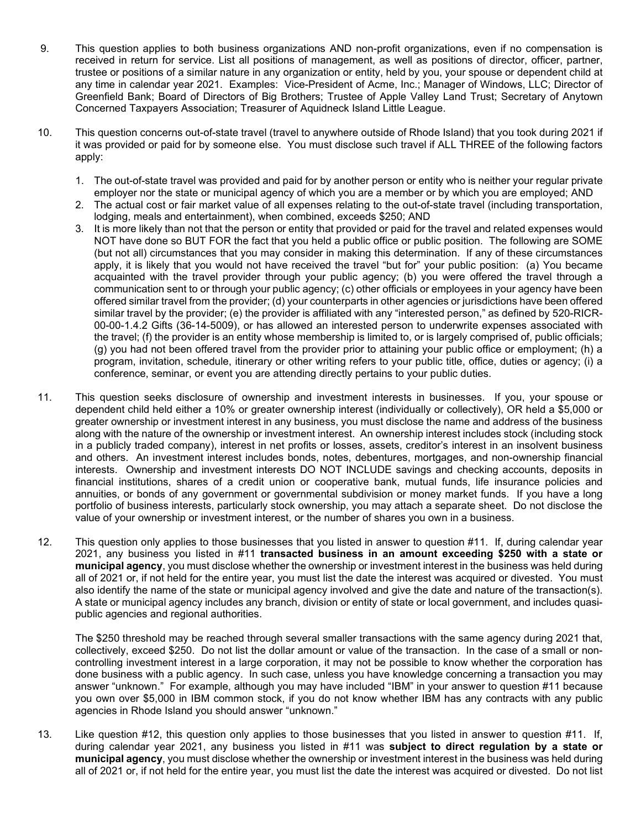- 9. This question applies to both business organizations AND non-profit organizations, even if no compensation is received in return for service. List all positions of management, as well as positions of director, officer, partner, trustee or positions of a similar nature in any organization or entity, held by you, your spouse or dependent child at any time in calendar year 2021. Examples: Vice-President of Acme, Inc.; Manager of Windows, LLC; Director of Greenfield Bank; Board of Directors of Big Brothers; Trustee of Apple Valley Land Trust; Secretary of Anytown Concerned Taxpayers Association; Treasurer of Aquidneck Island Little League.
- 10. This question concerns out-of-state travel (travel to anywhere outside of Rhode Island) that you took during 2021 if it was provided or paid for by someone else. You must disclose such travel if ALL THREE of the following factors apply:
	- 1. The out-of-state travel was provided and paid for by another person or entity who is neither your regular private employer nor the state or municipal agency of which you are a member or by which you are employed; AND
	- 2. The actual cost or fair market value of all expenses relating to the out-of-state travel (including transportation, lodging, meals and entertainment), when combined, exceeds \$250; AND
	- 3. It is more likely than not that the person or entity that provided or paid for the travel and related expenses would NOT have done so BUT FOR the fact that you held a public office or public position. The following are SOME (but not all) circumstances that you may consider in making this determination. If any of these circumstances apply, it is likely that you would not have received the travel "but for" your public position: (a) You became acquainted with the travel provider through your public agency; (b) you were offered the travel through a communication sent to or through your public agency; (c) other officials or employees in your agency have been offered similar travel from the provider; (d) your counterparts in other agencies or jurisdictions have been offered similar travel by the provider; (e) the provider is affiliated with any "interested person," as defined by 520-RICR-00-00-1.4.2 Gifts (36-14-5009), or has allowed an interested person to underwrite expenses associated with the travel; (f) the provider is an entity whose membership is limited to, or is largely comprised of, public officials; (g) you had not been offered travel from the provider prior to attaining your public office or employment; (h) a program, invitation, schedule, itinerary or other writing refers to your public title, office, duties or agency; (i) a conference, seminar, or event you are attending directly pertains to your public duties.
- 11. This question seeks disclosure of ownership and investment interests in businesses. If you, your spouse or dependent child held either a 10% or greater ownership interest (individually or collectively), OR held a \$5,000 or greater ownership or investment interest in any business, you must disclose the name and address of the business along with the nature of the ownership or investment interest. An ownership interest includes stock (including stock in a publicly traded company), interest in net profits or losses, assets, creditor's interest in an insolvent business and others. An investment interest includes bonds, notes, debentures, mortgages, and non-ownership financial interests. Ownership and investment interests DO NOT INCLUDE savings and checking accounts, deposits in financial institutions, shares of a credit union or cooperative bank, mutual funds, life insurance policies and annuities, or bonds of any government or governmental subdivision or money market funds. If you have a long portfolio of business interests, particularly stock ownership, you may attach a separate sheet. Do not disclose the value of your ownership or investment interest, or the number of shares you own in a business.
- 12. This question only applies to those businesses that you listed in answer to question #11. If, during calendar year 2021, any business you listed in #11 **transacted business in an amount exceeding \$250 with a state or municipal agency**, you must disclose whether the ownership or investment interest in the business was held during all of 2021 or, if not held for the entire year, you must list the date the interest was acquired or divested. You must also identify the name of the state or municipal agency involved and give the date and nature of the transaction(s). A state or municipal agency includes any branch, division or entity of state or local government, and includes quasipublic agencies and regional authorities.

The \$250 threshold may be reached through several smaller transactions with the same agency during 2021 that, collectively, exceed \$250. Do not list the dollar amount or value of the transaction. In the case of a small or noncontrolling investment interest in a large corporation, it may not be possible to know whether the corporation has done business with a public agency. In such case, unless you have knowledge concerning a transaction you may answer "unknown." For example, although you may have included "IBM" in your answer to question #11 because you own over \$5,000 in IBM common stock, if you do not know whether IBM has any contracts with any public agencies in Rhode Island you should answer "unknown."

13. Like question #12, this question only applies to those businesses that you listed in answer to question #11. If, during calendar year 2021, any business you listed in #11 was **subject to direct regulation by a state or municipal agency**, you must disclose whether the ownership or investment interest in the business was held during all of 2021 or, if not held for the entire year, you must list the date the interest was acquired or divested. Do not list